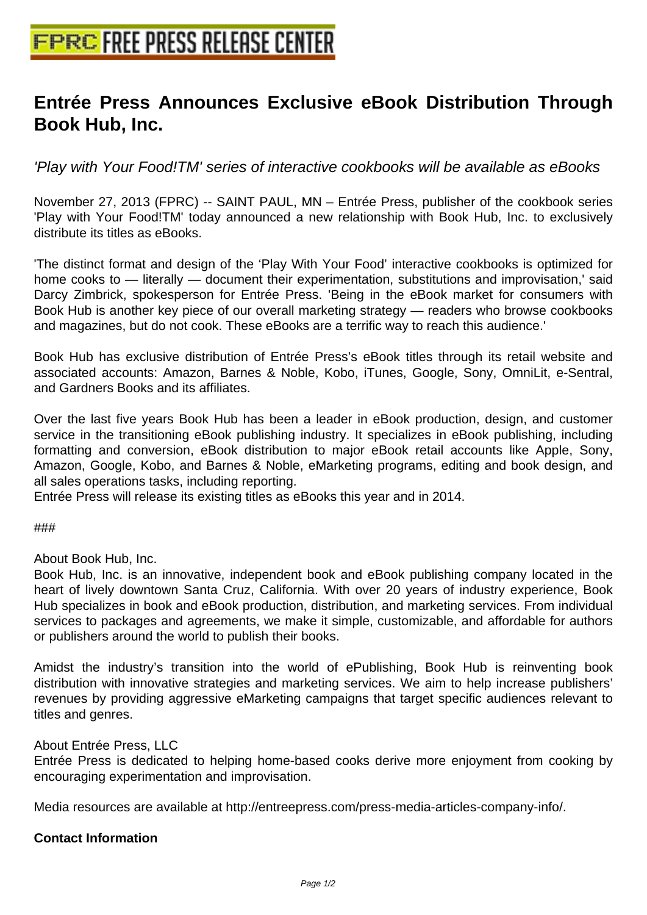## **[Entrée Press Announces Exclusiv](http://www.free-press-release-center.info)e eBook Distribution Through Book Hub, Inc.**

'Play with Your Food!TM' series of interactive cookbooks will be available as eBooks

November 27, 2013 (FPRC) -- SAINT PAUL, MN – Entrée Press, publisher of the cookbook series 'Play with Your Food!TM' today announced a new relationship with Book Hub, Inc. to exclusively distribute its titles as eBooks.

'The distinct format and design of the 'Play With Your Food' interactive cookbooks is optimized for home cooks to — literally — document their experimentation, substitutions and improvisation,' said Darcy Zimbrick, spokesperson for Entrée Press. 'Being in the eBook market for consumers with Book Hub is another key piece of our overall marketing strategy — readers who browse cookbooks and magazines, but do not cook. These eBooks are a terrific way to reach this audience.'

Book Hub has exclusive distribution of Entrée Press's eBook titles through its retail website and associated accounts: Amazon, Barnes & Noble, Kobo, iTunes, Google, Sony, OmniLit, e-Sentral, and Gardners Books and its affiliates.

Over the last five years Book Hub has been a leader in eBook production, design, and customer service in the transitioning eBook publishing industry. It specializes in eBook publishing, including formatting and conversion, eBook distribution to major eBook retail accounts like Apple, Sony, Amazon, Google, Kobo, and Barnes & Noble, eMarketing programs, editing and book design, and all sales operations tasks, including reporting.

Entrée Press will release its existing titles as eBooks this year and in 2014.

###

About Book Hub, Inc.

Book Hub, Inc. is an innovative, independent book and eBook publishing company located in the heart of lively downtown Santa Cruz, California. With over 20 years of industry experience, Book Hub specializes in book and eBook production, distribution, and marketing services. From individual services to packages and agreements, we make it simple, customizable, and affordable for authors or publishers around the world to publish their books.

Amidst the industry's transition into the world of ePublishing, Book Hub is reinventing book distribution with innovative strategies and marketing services. We aim to help increase publishers' revenues by providing aggressive eMarketing campaigns that target specific audiences relevant to titles and genres.

## About Entrée Press, LLC

Entrée Press is dedicated to helping home-based cooks derive more enjoyment from cooking by encouraging experimentation and improvisation.

Media resources are available at http://entreepress.com/press-media-articles-company-info/.

## **Contact Information**